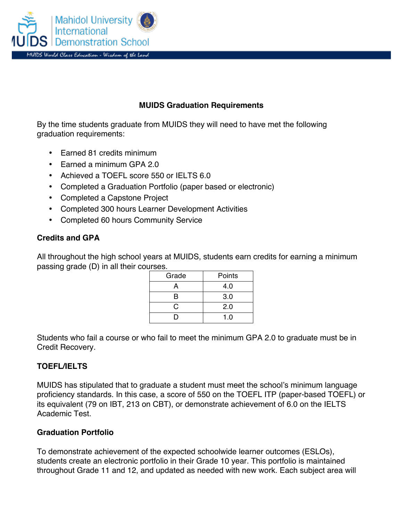

# **MUIDS Graduation Requirements**

By the time students graduate from MUIDS they will need to have met the following graduation requirements:

- Earned 81 credits minimum
- Earned a minimum GPA 2.0
- Achieved a TOEFL score 550 or IELTS 6.0
- Completed a Graduation Portfolio (paper based or electronic)
- Completed a Capstone Project
- Completed 300 hours Learner Development Activities
- Completed 60 hours Community Service

#### **Credits and GPA**

All throughout the high school years at MUIDS, students earn credits for earning a minimum passing grade (D) in all their courses.

| Grade | Points |
|-------|--------|
| А     | 4.0    |
| в     | 3.0    |
| C     | 2.0    |
| в     | 1.0    |

Students who fail a course or who fail to meet the minimum GPA 2.0 to graduate must be in Credit Recovery.

#### **TOEFL/IELTS**

MUIDS has stipulated that to graduate a student must meet the school's minimum language proficiency standards. In this case, a score of 550 on the TOEFL ITP (paper-based TOEFL) or its equivalent (79 on IBT, 213 on CBT), or demonstrate achievement of 6.0 on the IELTS Academic Test.

#### **Graduation Portfolio**

To demonstrate achievement of the expected schoolwide learner outcomes (ESLOs), students create an electronic portfolio in their Grade 10 year. This portfolio is maintained throughout Grade 11 and 12, and updated as needed with new work. Each subject area will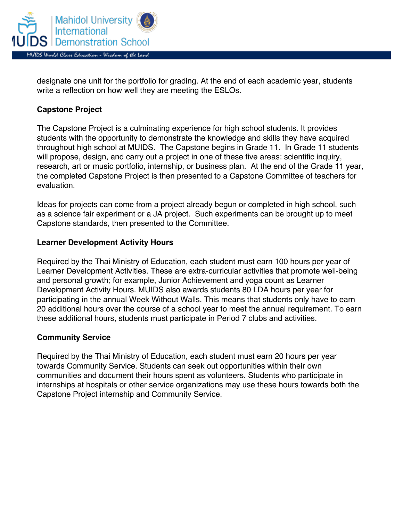

designate one unit for the portfolio for grading. At the end of each academic year, students write a reflection on how well they are meeting the ESLOs.

## **Capstone Project**

The Capstone Project is a culminating experience for high school students. It provides students with the opportunity to demonstrate the knowledge and skills they have acquired throughout high school at MUIDS. The Capstone begins in Grade 11. In Grade 11 students will propose, design, and carry out a project in one of these five areas: scientific inquiry, research, art or music portfolio, internship, or business plan. At the end of the Grade 11 year, the completed Capstone Project is then presented to a Capstone Committee of teachers for evaluation.

Ideas for projects can come from a project already begun or completed in high school, such as a science fair experiment or a JA project. Such experiments can be brought up to meet Capstone standards, then presented to the Committee.

#### **Learner Development Activity Hours**

Required by the Thai Ministry of Education, each student must earn 100 hours per year of Learner Development Activities. These are extra-curricular activities that promote well-being and personal growth; for example, Junior Achievement and yoga count as Learner Development Activity Hours. MUIDS also awards students 80 LDA hours per year for participating in the annual Week Without Walls. This means that students only have to earn 20 additional hours over the course of a school year to meet the annual requirement. To earn these additional hours, students must participate in Period 7 clubs and activities.

#### **Community Service**

Required by the Thai Ministry of Education, each student must earn 20 hours per year towards Community Service. Students can seek out opportunities within their own communities and document their hours spent as volunteers. Students who participate in internships at hospitals or other service organizations may use these hours towards both the Capstone Project internship and Community Service.